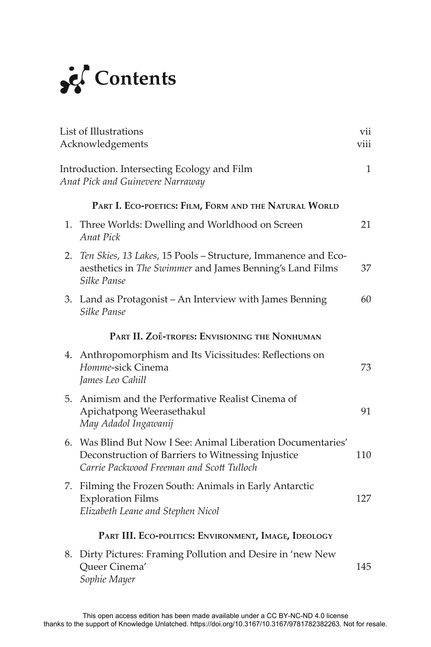

|    | List of Illustrations<br>Acknowledgements                                                                                                                       | vii<br>viii |
|----|-----------------------------------------------------------------------------------------------------------------------------------------------------------------|-------------|
|    | Introduction. Intersecting Ecology and Film<br>Anat Pick and Guinevere Narraway                                                                                 | 1           |
|    | PART I. ECO-POETICS: FILM, FORM AND THE NATURAL WORLD                                                                                                           |             |
| 1. | Three Worlds: Dwelling and Worldhood on Screen<br>Anat Pick                                                                                                     | 21          |
| 2. | Ten Skies, 13 Lakes, 15 Pools - Structure, Immanence and Eco-<br>aesthetics in The Swimmer and James Benning's Land Films<br>Silke Panse                        | 37          |
|    | 3. Land as Protagonist – An Interview with James Benning<br>Silke Panse                                                                                         | 60          |
|    | PART II. ZOE-TROPES: ENVISIONING THE NONHUMAN                                                                                                                   |             |
|    | 4. Anthropomorphism and Its Vicissitudes: Reflections on<br>Homme-sick Cinema<br>James Leo Cahill                                                               | 73          |
|    | 5. Animism and the Performative Realist Cinema of<br>Apichatpong Weerasethakul<br>May Adadol Ingawanij                                                          | 91          |
|    | 6. Was Blind But Now I See: Animal Liberation Documentaries'<br>Deconstruction of Barriers to Witnessing Injustice<br>Carrie Packwood Freeman and Scott Tulloch | 110         |
|    | 7. Filming the Frozen South: Animals in Early Antarctic<br><b>Exploration Films</b><br>Elizabeth Leane and Stephen Nicol                                        | 127         |
|    | PART III. ECO-POLITICS: ENVIRONMENT, IMAGE, IDEOLOGY                                                                                                            |             |
|    | 8. Dirty Pictures: Framing Pollution and Desire in 'new New<br>Queer Cinema'<br>Sophie Mayer                                                                    | 145         |